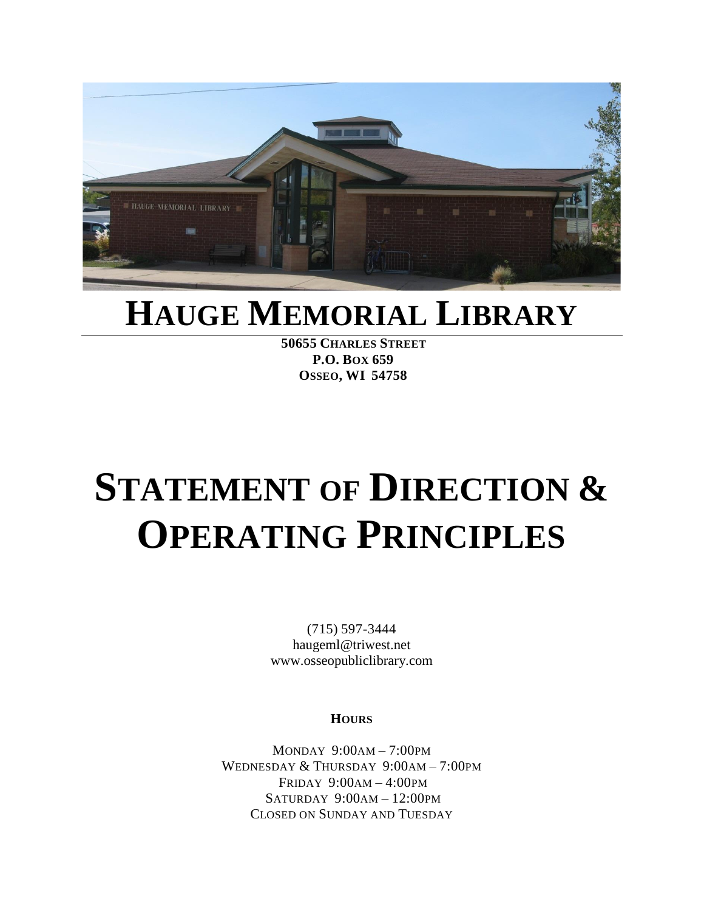

## **HAUGE MEMORIAL LIBRARY**

**50655 CHARLES STREET P.O. BOX 659 OSSEO, WI 54758**

# **STATEMENT OF DIRECTION & OPERATING PRINCIPLES**

(715) 597-3444 haugeml@triwest.net www.osseopubliclibrary.com

**HOURS**

MONDAY 9:00AM – 7:00PM WEDNESDAY & THURSDAY 9:00AM – 7:00PM FRIDAY 9:00AM – 4:00PM  $SATURDAY 9:00AM - 12:00PM$ CLOSED ON SUNDAY AND TUESDAY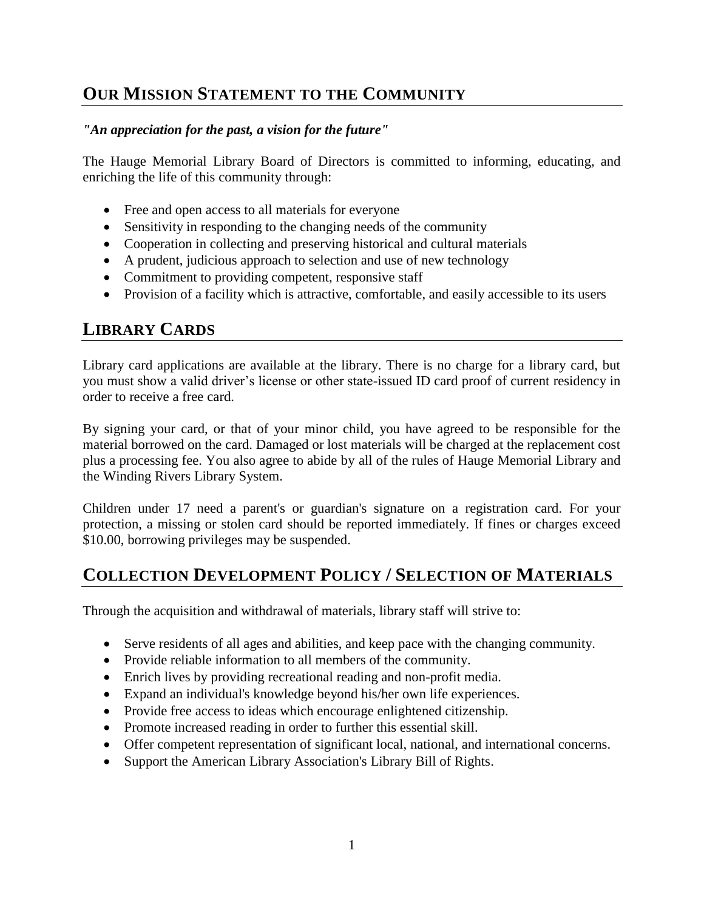## **OUR MISSION STATEMENT TO THE COMMUNITY**

#### *"An appreciation for the past, a vision for the future"*

The Hauge Memorial Library Board of Directors is committed to informing, educating, and enriching the life of this community through:

- Free and open access to all materials for everyone
- Sensitivity in responding to the changing needs of the community
- Cooperation in collecting and preserving historical and cultural materials
- A prudent, judicious approach to selection and use of new technology
- Commitment to providing competent, responsive staff
- Provision of a facility which is attractive, comfortable, and easily accessible to its users

## **LIBRARY CARDS**

Library card applications are available at the library. There is no charge for a library card, but you must show a valid driver's license or other state-issued ID card proof of current residency in order to receive a free card.

By signing your card, or that of your minor child, you have agreed to be responsible for the material borrowed on the card. Damaged or lost materials will be charged at the replacement cost plus a processing fee. You also agree to abide by all of the rules of Hauge Memorial Library and the Winding Rivers Library System.

Children under 17 need a parent's or guardian's signature on a registration card. For your protection, a missing or stolen card should be reported immediately. If fines or charges exceed \$10.00, borrowing privileges may be suspended.

## **COLLECTION DEVELOPMENT POLICY / SELECTION OF MATERIALS**

Through the acquisition and withdrawal of materials, library staff will strive to:

- Serve residents of all ages and abilities, and keep pace with the changing community.
- Provide reliable information to all members of the community.
- Enrich lives by providing recreational reading and non-profit media.
- Expand an individual's knowledge beyond his/her own life experiences.
- Provide free access to ideas which encourage enlightened citizenship.
- Promote increased reading in order to further this essential skill.
- Offer competent representation of significant local, national, and international concerns.
- Support the American Library Association's Library Bill of Rights.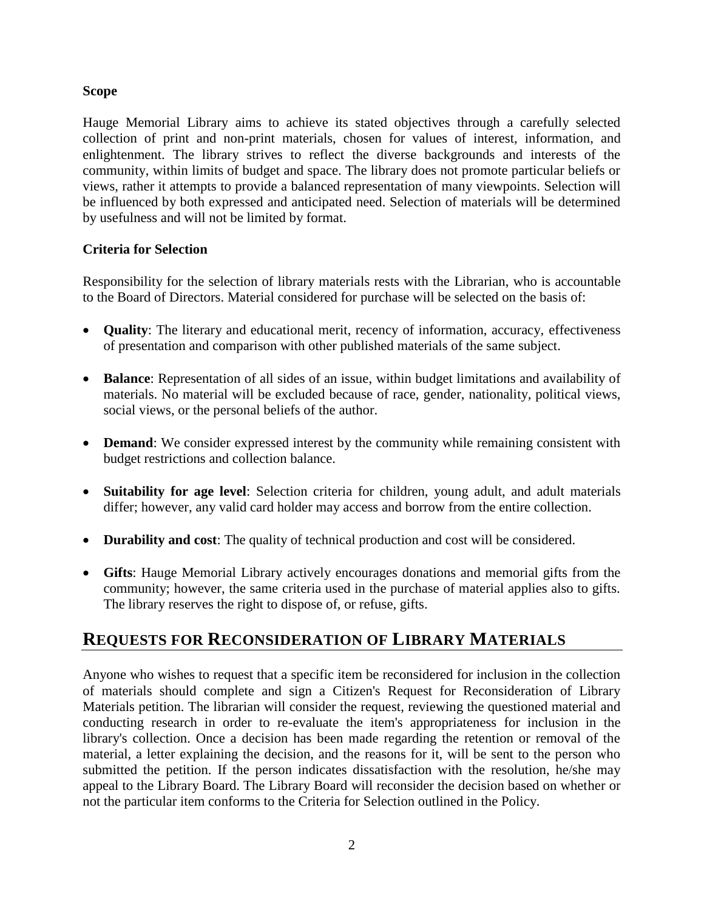#### **Scope**

Hauge Memorial Library aims to achieve its stated objectives through a carefully selected collection of print and non-print materials, chosen for values of interest, information, and enlightenment. The library strives to reflect the diverse backgrounds and interests of the community, within limits of budget and space. The library does not promote particular beliefs or views, rather it attempts to provide a balanced representation of many viewpoints. Selection will be influenced by both expressed and anticipated need. Selection of materials will be determined by usefulness and will not be limited by format.

#### **Criteria for Selection**

Responsibility for the selection of library materials rests with the Librarian, who is accountable to the Board of Directors. Material considered for purchase will be selected on the basis of:

- **Quality**: The literary and educational merit, recency of information, accuracy, effectiveness of presentation and comparison with other published materials of the same subject.
- **Balance**: Representation of all sides of an issue, within budget limitations and availability of materials. No material will be excluded because of race, gender, nationality, political views, social views, or the personal beliefs of the author.
- **Demand**: We consider expressed interest by the community while remaining consistent with budget restrictions and collection balance.
- **Suitability for age level**: Selection criteria for children, young adult, and adult materials differ; however, any valid card holder may access and borrow from the entire collection.
- **Durability and cost**: The quality of technical production and cost will be considered.
- **Gifts**: Hauge Memorial Library actively encourages donations and memorial gifts from the community; however, the same criteria used in the purchase of material applies also to gifts. The library reserves the right to dispose of, or refuse, gifts.

## **REQUESTS FOR RECONSIDERATION OF LIBRARY MATERIALS**

Anyone who wishes to request that a specific item be reconsidered for inclusion in the collection of materials should complete and sign a Citizen's Request for Reconsideration of Library Materials petition. The librarian will consider the request, reviewing the questioned material and conducting research in order to re-evaluate the item's appropriateness for inclusion in the library's collection. Once a decision has been made regarding the retention or removal of the material, a letter explaining the decision, and the reasons for it, will be sent to the person who submitted the petition. If the person indicates dissatisfaction with the resolution, he/she may appeal to the Library Board. The Library Board will reconsider the decision based on whether or not the particular item conforms to the Criteria for Selection outlined in the Policy.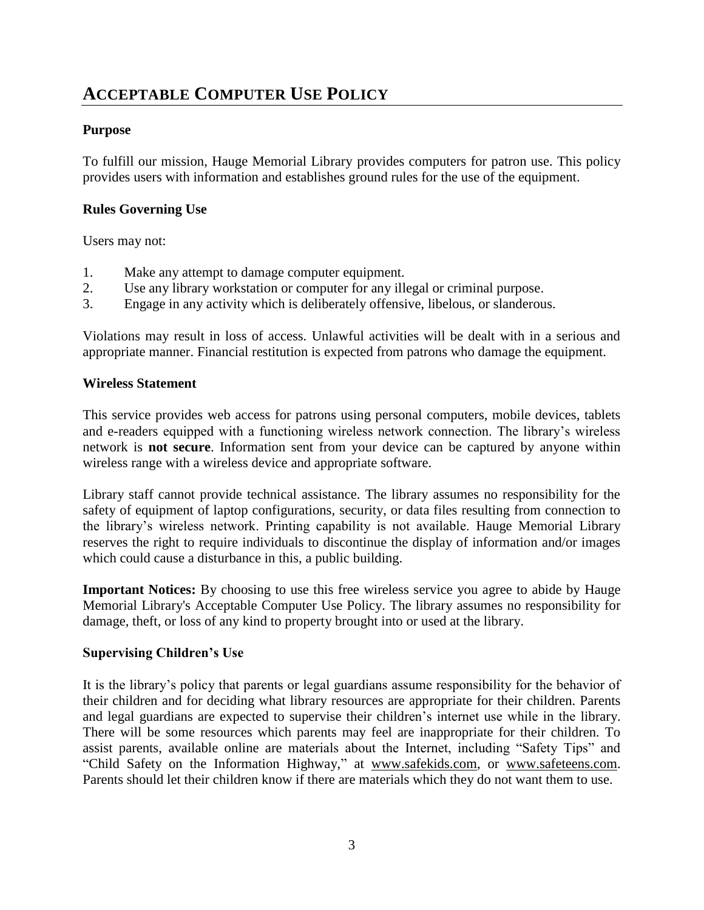## **ACCEPTABLE COMPUTER USE POLICY**

#### **Purpose**

To fulfill our mission, Hauge Memorial Library provides computers for patron use. This policy provides users with information and establishes ground rules for the use of the equipment.

#### **Rules Governing Use**

Users may not:

- 1. Make any attempt to damage computer equipment.
- 2. Use any library workstation or computer for any illegal or criminal purpose.
- 3. Engage in any activity which is deliberately offensive, libelous, or slanderous.

Violations may result in loss of access. Unlawful activities will be dealt with in a serious and appropriate manner. Financial restitution is expected from patrons who damage the equipment.

#### **Wireless Statement**

This service provides web access for patrons using personal computers, mobile devices, tablets and e-readers equipped with a functioning wireless network connection. The library's wireless network is **not secure**. Information sent from your device can be captured by anyone within wireless range with a wireless device and appropriate software.

Library staff cannot provide technical assistance. The library assumes no responsibility for the safety of equipment of laptop configurations, security, or data files resulting from connection to the library's wireless network. Printing capability is not available. Hauge Memorial Library reserves the right to require individuals to discontinue the display of information and/or images which could cause a disturbance in this, a public building.

**Important Notices:** By choosing to use this free wireless service you agree to abide by Hauge Memorial Library's Acceptable Computer Use Policy. The library assumes no responsibility for damage, theft, or loss of any kind to property brought into or used at the library.

#### **Supervising Children's Use**

It is the library's policy that parents or legal guardians assume responsibility for the behavior of their children and for deciding what library resources are appropriate for their children. Parents and legal guardians are expected to supervise their children's internet use while in the library. There will be some resources which parents may feel are inappropriate for their children. To assist parents, available online are materials about the Internet, including "Safety Tips" and "Child Safety on the Information Highway," at [www.safekids.com,](http://www.safekids.com/) or [www.safeteens.com.](http://www.safeteens.com/) Parents should let their children know if there are materials which they do not want them to use.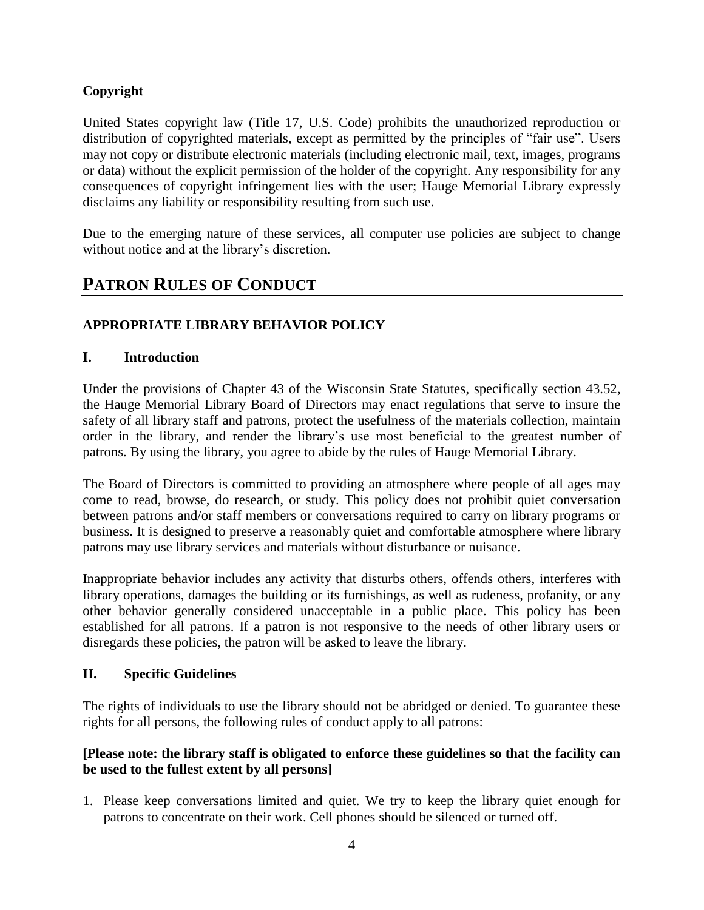#### **Copyright**

United States copyright law (Title 17, U.S. Code) prohibits the unauthorized reproduction or distribution of copyrighted materials, except as permitted by the principles of "fair use". Users may not copy or distribute electronic materials (including electronic mail, text, images, programs or data) without the explicit permission of the holder of the copyright. Any responsibility for any consequences of copyright infringement lies with the user; Hauge Memorial Library expressly disclaims any liability or responsibility resulting from such use.

Due to the emerging nature of these services, all computer use policies are subject to change without notice and at the library's discretion.

## **PATRON RULES OF CONDUCT**

#### **APPROPRIATE LIBRARY BEHAVIOR POLICY**

#### **I. Introduction**

Under the provisions of Chapter 43 of the Wisconsin State Statutes, specifically section 43.52, the Hauge Memorial Library Board of Directors may enact regulations that serve to insure the safety of all library staff and patrons, protect the usefulness of the materials collection, maintain order in the library, and render the library's use most beneficial to the greatest number of patrons. By using the library, you agree to abide by the rules of Hauge Memorial Library.

The Board of Directors is committed to providing an atmosphere where people of all ages may come to read, browse, do research, or study. This policy does not prohibit quiet conversation between patrons and/or staff members or conversations required to carry on library programs or business. It is designed to preserve a reasonably quiet and comfortable atmosphere where library patrons may use library services and materials without disturbance or nuisance.

Inappropriate behavior includes any activity that disturbs others, offends others, interferes with library operations, damages the building or its furnishings, as well as rudeness, profanity, or any other behavior generally considered unacceptable in a public place. This policy has been established for all patrons. If a patron is not responsive to the needs of other library users or disregards these policies, the patron will be asked to leave the library.

#### **II. Specific Guidelines**

The rights of individuals to use the library should not be abridged or denied. To guarantee these rights for all persons, the following rules of conduct apply to all patrons:

#### **[Please note: the library staff is obligated to enforce these guidelines so that the facility can be used to the fullest extent by all persons]**

1. Please keep conversations limited and quiet. We try to keep the library quiet enough for patrons to concentrate on their work. Cell phones should be silenced or turned off.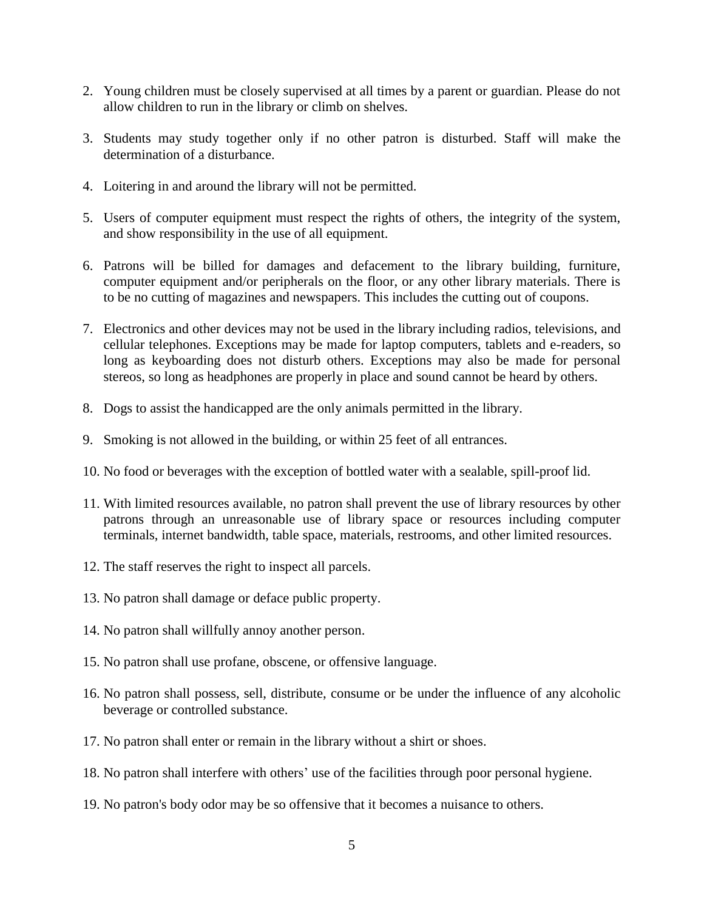- 2. Young children must be closely supervised at all times by a parent or guardian. Please do not allow children to run in the library or climb on shelves.
- 3. Students may study together only if no other patron is disturbed. Staff will make the determination of a disturbance.
- 4. Loitering in and around the library will not be permitted.
- 5. Users of computer equipment must respect the rights of others, the integrity of the system, and show responsibility in the use of all equipment.
- 6. Patrons will be billed for damages and defacement to the library building, furniture, computer equipment and/or peripherals on the floor, or any other library materials. There is to be no cutting of magazines and newspapers. This includes the cutting out of coupons.
- 7. Electronics and other devices may not be used in the library including radios, televisions, and cellular telephones. Exceptions may be made for laptop computers, tablets and e-readers, so long as keyboarding does not disturb others. Exceptions may also be made for personal stereos, so long as headphones are properly in place and sound cannot be heard by others.
- 8. Dogs to assist the handicapped are the only animals permitted in the library.
- 9. Smoking is not allowed in the building, or within 25 feet of all entrances.
- 10. No food or beverages with the exception of bottled water with a sealable, spill-proof lid.
- 11. With limited resources available, no patron shall prevent the use of library resources by other patrons through an unreasonable use of library space or resources including computer terminals, internet bandwidth, table space, materials, restrooms, and other limited resources.
- 12. The staff reserves the right to inspect all parcels.
- 13. No patron shall damage or deface public property.
- 14. No patron shall willfully annoy another person.
- 15. No patron shall use profane, obscene, or offensive language.
- 16. No patron shall possess, sell, distribute, consume or be under the influence of any alcoholic beverage or controlled substance.
- 17. No patron shall enter or remain in the library without a shirt or shoes.
- 18. No patron shall interfere with others' use of the facilities through poor personal hygiene.
- 19. No patron's body odor may be so offensive that it becomes a nuisance to others.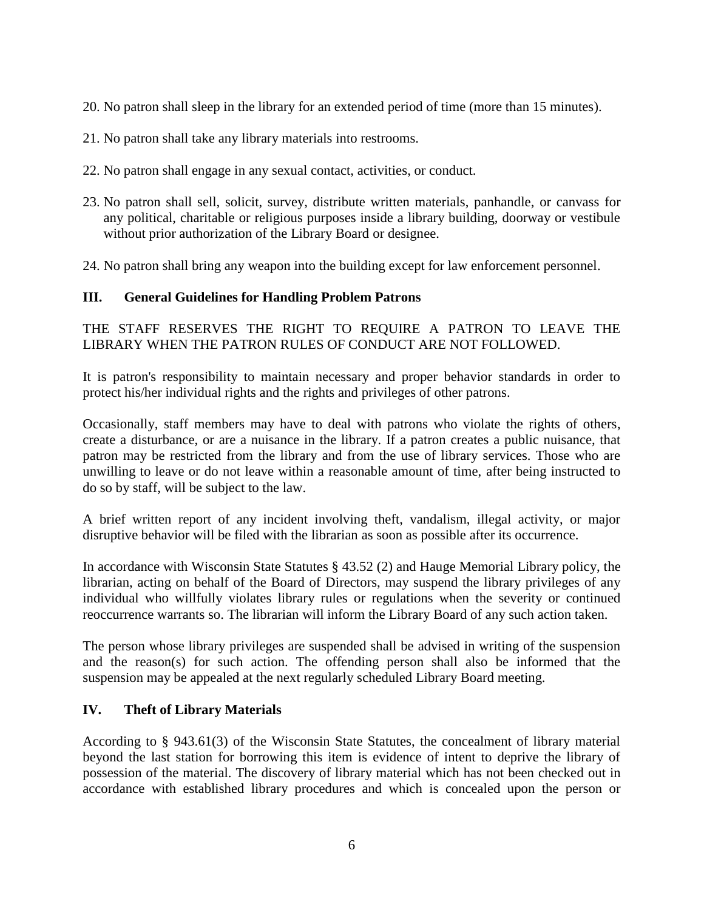- 20. No patron shall sleep in the library for an extended period of time (more than 15 minutes).
- 21. No patron shall take any library materials into restrooms.
- 22. No patron shall engage in any sexual contact, activities, or conduct.
- 23. No patron shall sell, solicit, survey, distribute written materials, panhandle, or canvass for any political, charitable or religious purposes inside a library building, doorway or vestibule without prior authorization of the Library Board or designee.
- 24. No patron shall bring any weapon into the building except for law enforcement personnel.

#### **III. General Guidelines for Handling Problem Patrons**

THE STAFF RESERVES THE RIGHT TO REQUIRE A PATRON TO LEAVE THE LIBRARY WHEN THE PATRON RULES OF CONDUCT ARE NOT FOLLOWED.

It is patron's responsibility to maintain necessary and proper behavior standards in order to protect his/her individual rights and the rights and privileges of other patrons.

Occasionally, staff members may have to deal with patrons who violate the rights of others, create a disturbance, or are a nuisance in the library. If a patron creates a public nuisance, that patron may be restricted from the library and from the use of library services. Those who are unwilling to leave or do not leave within a reasonable amount of time, after being instructed to do so by staff, will be subject to the law.

A brief written report of any incident involving theft, vandalism, illegal activity, or major disruptive behavior will be filed with the librarian as soon as possible after its occurrence.

In accordance with Wisconsin State Statutes § 43.52 (2) and Hauge Memorial Library policy, the librarian, acting on behalf of the Board of Directors, may suspend the library privileges of any individual who willfully violates library rules or regulations when the severity or continued reoccurrence warrants so. The librarian will inform the Library Board of any such action taken.

The person whose library privileges are suspended shall be advised in writing of the suspension and the reason(s) for such action. The offending person shall also be informed that the suspension may be appealed at the next regularly scheduled Library Board meeting.

#### **IV. Theft of Library Materials**

According to § 943.61(3) of the Wisconsin State Statutes, the concealment of library material beyond the last station for borrowing this item is evidence of intent to deprive the library of possession of the material. The discovery of library material which has not been checked out in accordance with established library procedures and which is concealed upon the person or